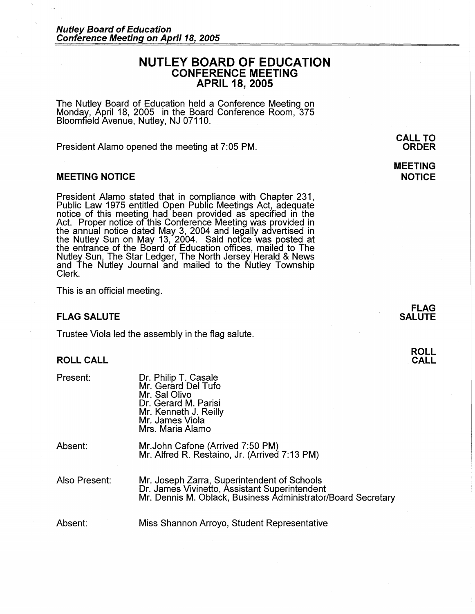# **NUTLEY BOARD OF EDUCATION CONFERENCE MEETING APRIL 18, 2005**

The Nutley Board of Education held a Conference Meeting on Monday, April 18, 2005 in the Board Conference Room, 375 Bloomfield Avenue, Nutley, NJ 07110.

President Alamo opened the meeting at 7:05 PM.

### **MEETING NOTICE**

President Alamo stated that in compliance with Chapter 231, Public Law 1975 entitled Open Public Meetings Act, adequate notice of this meeting had been provided as specified in the Act. Proper notice of this Conference Meeting was provided in the annual notice dated May 3, 2004 and legally advertised in the Nutley Sun on May 13, 2004. Said notice was posted at the entrance of the Board of Education offices, mailed to The Nutley Sun, The Star Ledger, The North Jersey Herald & News and The Nutley Journal and mailed to the Nutley Township Clerk.

This is an official meeting.

## **FLAG SALUTE**

Trustee Viola led the assembly in the flag salute.

### **ROLL CALL**

Present:

| Dr. Philip T. Casale  |
|-----------------------|
| Mr. Gerard Del Tufo   |
| Mr. Sal Olivo         |
| Dr. Gerard M. Parisi  |
| Mr. Kenneth J. Reilly |
| Mr. James Viola       |
| Mrs. Maria Alamo      |
|                       |

Absent: Mr.John Cafone (Arrived 7:50 PM) Mr. Alfred R. Restaino, Jr. (Arrived 7:13 PM)

Also Present:

Mr. Joseph Zarra, Superintendent of Schools Dr. James Vivinetto, Assistant Superintendent Mr. Dennis M. Oblack, Business Administrator/Board Secretary

Absent: Miss Shannon Arroyo, Student Representative

**CALL TO ORDER** 

**MEETING NOTICE** 

**ROLL CALL**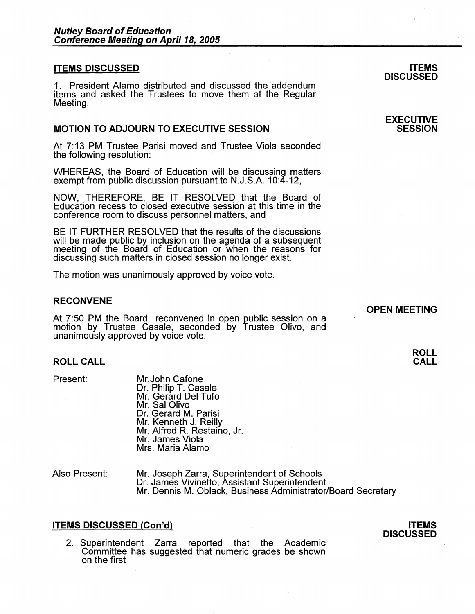### **ITEMS DISCUSSED**

1. President Alamo distributed and discussed the addendum items and asked the Trustees to move them at the Regular Meeting.

# **MOTION TO ADJOURN TO EXECUTIVE SESSION**

At 7:13 PM Trustee Parisi moved and Trustee Viola seconded the following resolution:

WHEREAS, the Board of Education will be discussing matters exempt from public discussion pursuant to N.J.S.A. 10:4-12,

NOW, THEREFORE, BE IT RESOLVED that the Board of Education recess to closed executive session at this time in the conference room to discuss personnel matters, and

BE IT FURTHER RESOLVED that the results of the discussions will be made public by inclusion on the agenda of a subsequent meeting of the Board of Education or when the reasons for discussing such matters in closed session no longer exist.

The motion was unanimously approved by voice vote.

### **RECONVENE**

At 7:50 PM the Board reconvened in open public session on a motion by Trustee Casale, seconded by Trustee Olivo, and unanimously approved by voice vote.

### **ROLL CALL**

Present:

- Mr.John Cafone Dr. Philip T. Casale Mr. Gerard Del Tufo Mr. Sal Olivo Dr. Gerard M. Parisi Mr. Kenneth J. Reilly Mr. Alfred R. Restaino, Jr. Mr. James Viola Mrs. Maria Alamo
- Also Present: Mr. Joseph Zarra, Superintendent of Schools<br>Dr. James Vivinetto, Assistant Superintendent Mr. Dennis M. Oblack, Business Administrator/Board Secretary

# **ITEMS DISCUSSED (Con'd)**

2. Superintendent Zarra reported that the Academic Committee has suggested that numeric grades be shown on the first

### **ITEMS DISCUSSED**

### **EXECUTIVE SESSION**

#### **OPEN MEETING**

### **ROLL CALL**

### **ITEMS DISCUSSED**